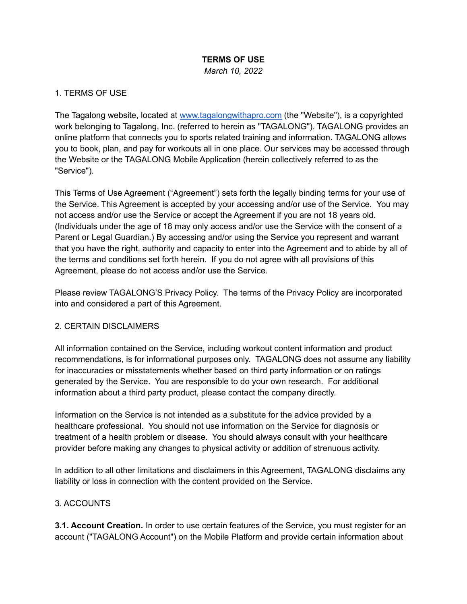# **TERMS OF USE**

*March 10, 2022*

## 1. TERMS OF USE

The Tagalong website, located at [www.tagalongwithapro.com](http://www.tagalongwithapro.com) (the "Website"), is a copyrighted work belonging to Tagalong, Inc. (referred to herein as "TAGALONG"). TAGALONG provides an online platform that connects you to sports related training and information. TAGALONG allows you to book, plan, and pay for workouts all in one place. Our services may be accessed through the Website or the TAGALONG Mobile Application (herein collectively referred to as the "Service").

This Terms of Use Agreement ("Agreement") sets forth the legally binding terms for your use of the Service. This Agreement is accepted by your accessing and/or use of the Service. You may not access and/or use the Service or accept the Agreement if you are not 18 years old. (Individuals under the age of 18 may only access and/or use the Service with the consent of a Parent or Legal Guardian.) By accessing and/or using the Service you represent and warrant that you have the right, authority and capacity to enter into the Agreement and to abide by all of the terms and conditions set forth herein. If you do not agree with all provisions of this Agreement, please do not access and/or use the Service.

Please review TAGALONG'S Privacy Policy. The terms of the Privacy Policy are incorporated into and considered a part of this Agreement.

## 2. CERTAIN DISCLAIMERS

All information contained on the Service, including workout content information and product recommendations, is for informational purposes only. TAGALONG does not assume any liability for inaccuracies or misstatements whether based on third party information or on ratings generated by the Service. You are responsible to do your own research. For additional information about a third party product, please contact the company directly.

Information on the Service is not intended as a substitute for the advice provided by a healthcare professional. You should not use information on the Service for diagnosis or treatment of a health problem or disease. You should always consult with your healthcare provider before making any changes to physical activity or addition of strenuous activity.

In addition to all other limitations and disclaimers in this Agreement, TAGALONG disclaims any liability or loss in connection with the content provided on the Service.

## 3. ACCOUNTS

**3.1. Account Creation.** In order to use certain features of the Service, you must register for an account ("TAGALONG Account") on the Mobile Platform and provide certain information about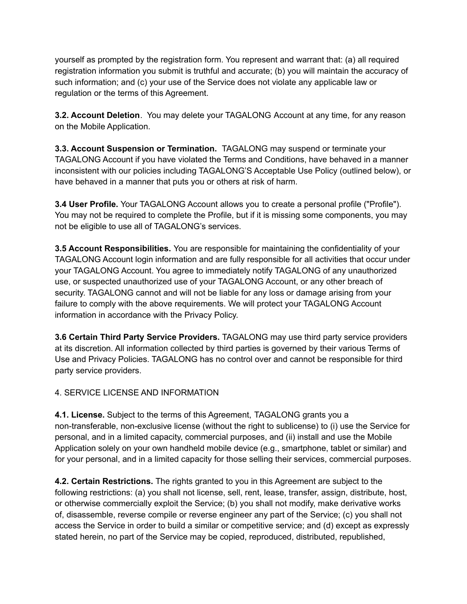yourself as prompted by the registration form. You represent and warrant that: (a) all required registration information you submit is truthful and accurate; (b) you will maintain the accuracy of such information; and (c) your use of the Service does not violate any applicable law or regulation or the terms of this Agreement.

**3.2. Account Deletion**. You may delete your TAGALONG Account at any time, for any reason on the Mobile Application.

**3.3. Account Suspension or Termination.** TAGALONG may suspend or terminate your TAGALONG Account if you have violated the Terms and Conditions, have behaved in a manner inconsistent with our policies including TAGALONG'S Acceptable Use Policy (outlined below), or have behaved in a manner that puts you or others at risk of harm.

**3.4 User Profile.** Your TAGALONG Account allows you to create a personal profile ("Profile"). You may not be required to complete the Profile, but if it is missing some components, you may not be eligible to use all of TAGALONG's services.

**3.5 Account Responsibilities.** You are responsible for maintaining the confidentiality of your TAGALONG Account login information and are fully responsible for all activities that occur under your TAGALONG Account. You agree to immediately notify TAGALONG of any unauthorized use, or suspected unauthorized use of your TAGALONG Account, or any other breach of security. TAGALONG cannot and will not be liable for any loss or damage arising from your failure to comply with the above requirements. We will protect your TAGALONG Account information in accordance with the Privacy Policy.

**3.6 Certain Third Party Service Providers.** TAGALONG may use third party service providers at its discretion. All information collected by third parties is governed by their various Terms of Use and Privacy Policies. TAGALONG has no control over and cannot be responsible for third party service providers.

## 4. SERVICE LICENSE AND INFORMATION

**4.1. License.** Subject to the terms of this Agreement, TAGALONG grants you a non-transferable, non-exclusive license (without the right to sublicense) to (i) use the Service for personal, and in a limited capacity, commercial purposes, and (ii) install and use the Mobile Application solely on your own handheld mobile device (e.g., smartphone, tablet or similar) and for your personal, and in a limited capacity for those selling their services, commercial purposes.

**4.2. Certain Restrictions.** The rights granted to you in this Agreement are subject to the following restrictions: (a) you shall not license, sell, rent, lease, transfer, assign, distribute, host, or otherwise commercially exploit the Service; (b) you shall not modify, make derivative works of, disassemble, reverse compile or reverse engineer any part of the Service; (c) you shall not access the Service in order to build a similar or competitive service; and (d) except as expressly stated herein, no part of the Service may be copied, reproduced, distributed, republished,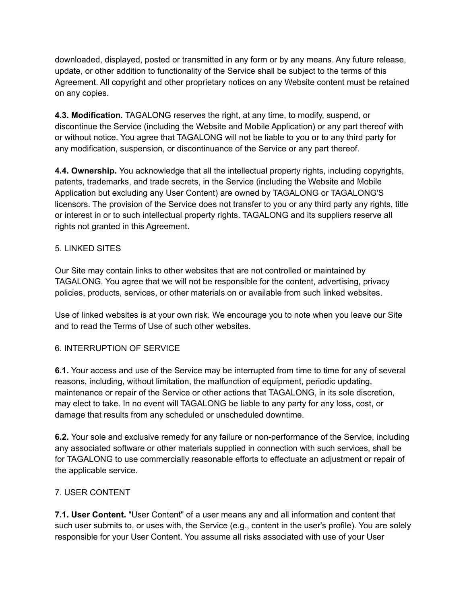downloaded, displayed, posted or transmitted in any form or by any means. Any future release, update, or other addition to functionality of the Service shall be subject to the terms of this Agreement. All copyright and other proprietary notices on any Website content must be retained on any copies.

**4.3. Modification.** TAGALONG reserves the right, at any time, to modify, suspend, or discontinue the Service (including the Website and Mobile Application) or any part thereof with or without notice. You agree that TAGALONG will not be liable to you or to any third party for any modification, suspension, or discontinuance of the Service or any part thereof.

**4.4. Ownership.** You acknowledge that all the intellectual property rights, including copyrights, patents, trademarks, and trade secrets, in the Service (including the Website and Mobile Application but excluding any User Content) are owned by TAGALONG or TAGALONG'S licensors. The provision of the Service does not transfer to you or any third party any rights, title or interest in or to such intellectual property rights. TAGALONG and its suppliers reserve all rights not granted in this Agreement.

## 5. LINKED SITES

Our Site may contain links to other websites that are not controlled or maintained by TAGALONG. You agree that we will not be responsible for the content, advertising, privacy policies, products, services, or other materials on or available from such linked websites.

Use of linked websites is at your own risk. We encourage you to note when you leave our Site and to read the Terms of Use of such other websites.

# 6. INTERRUPTION OF SERVICE

**6.1.** Your access and use of the Service may be interrupted from time to time for any of several reasons, including, without limitation, the malfunction of equipment, periodic updating, maintenance or repair of the Service or other actions that TAGALONG, in its sole discretion, may elect to take. In no event will TAGALONG be liable to any party for any loss, cost, or damage that results from any scheduled or unscheduled downtime.

**6.2.** Your sole and exclusive remedy for any failure or non-performance of the Service, including any associated software or other materials supplied in connection with such services, shall be for TAGALONG to use commercially reasonable efforts to effectuate an adjustment or repair of the applicable service.

## 7. USER CONTENT

**7.1. User Content.** "User Content" of a user means any and all information and content that such user submits to, or uses with, the Service (e.g., content in the user's profile). You are solely responsible for your User Content. You assume all risks associated with use of your User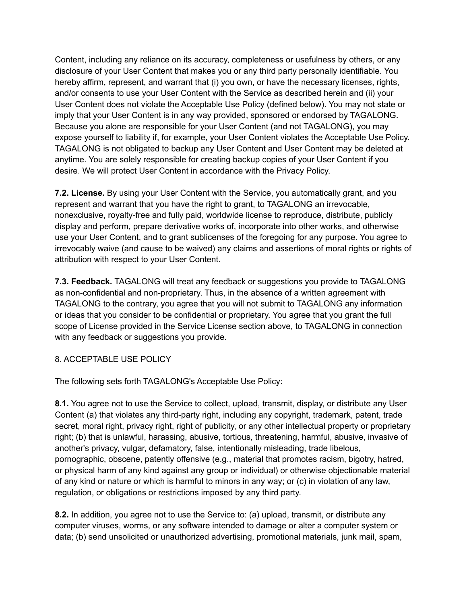Content, including any reliance on its accuracy, completeness or usefulness by others, or any disclosure of your User Content that makes you or any third party personally identifiable. You hereby affirm, represent, and warrant that (i) you own, or have the necessary licenses, rights, and/or consents to use your User Content with the Service as described herein and (ii) your User Content does not violate the Acceptable Use Policy (defined below). You may not state or imply that your User Content is in any way provided, sponsored or endorsed by TAGALONG. Because you alone are responsible for your User Content (and not TAGALONG), you may expose yourself to liability if, for example, your User Content violates the Acceptable Use Policy. TAGALONG is not obligated to backup any User Content and User Content may be deleted at anytime. You are solely responsible for creating backup copies of your User Content if you desire. We will protect User Content in accordance with the Privacy Policy.

**7.2. License.** By using your User Content with the Service, you automatically grant, and you represent and warrant that you have the right to grant, to TAGALONG an irrevocable, nonexclusive, royalty-free and fully paid, worldwide license to reproduce, distribute, publicly display and perform, prepare derivative works of, incorporate into other works, and otherwise use your User Content, and to grant sublicenses of the foregoing for any purpose. You agree to irrevocably waive (and cause to be waived) any claims and assertions of moral rights or rights of attribution with respect to your User Content.

**7.3. Feedback.** TAGALONG will treat any feedback or suggestions you provide to TAGALONG as non-confidential and non-proprietary. Thus, in the absence of a written agreement with TAGALONG to the contrary, you agree that you will not submit to TAGALONG any information or ideas that you consider to be confidential or proprietary. You agree that you grant the full scope of License provided in the Service License section above, to TAGALONG in connection with any feedback or suggestions you provide.

## 8. ACCEPTABLE USE POLICY

The following sets forth TAGALONG's Acceptable Use Policy:

**8.1.** You agree not to use the Service to collect, upload, transmit, display, or distribute any User Content (a) that violates any third-party right, including any copyright, trademark, patent, trade secret, moral right, privacy right, right of publicity, or any other intellectual property or proprietary right; (b) that is unlawful, harassing, abusive, tortious, threatening, harmful, abusive, invasive of another's privacy, vulgar, defamatory, false, intentionally misleading, trade libelous, pornographic, obscene, patently offensive (e.g., material that promotes racism, bigotry, hatred, or physical harm of any kind against any group or individual) or otherwise objectionable material of any kind or nature or which is harmful to minors in any way; or (c) in violation of any law, regulation, or obligations or restrictions imposed by any third party.

**8.2.** In addition, you agree not to use the Service to: (a) upload, transmit, or distribute any computer viruses, worms, or any software intended to damage or alter a computer system or data; (b) send unsolicited or unauthorized advertising, promotional materials, junk mail, spam,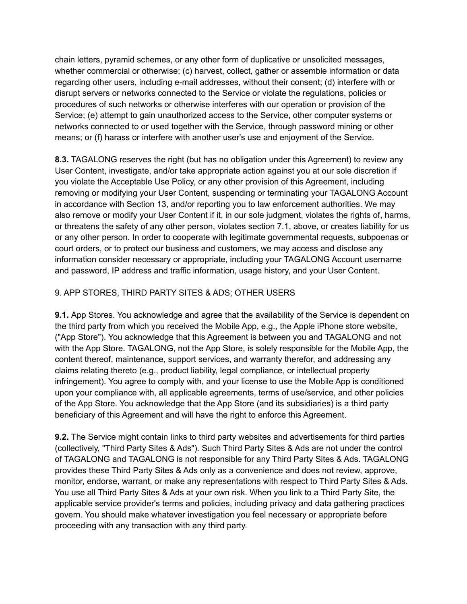chain letters, pyramid schemes, or any other form of duplicative or unsolicited messages, whether commercial or otherwise; (c) harvest, collect, gather or assemble information or data regarding other users, including e-mail addresses, without their consent; (d) interfere with or disrupt servers or networks connected to the Service or violate the regulations, policies or procedures of such networks or otherwise interferes with our operation or provision of the Service; (e) attempt to gain unauthorized access to the Service, other computer systems or networks connected to or used together with the Service, through password mining or other means; or (f) harass or interfere with another user's use and enjoyment of the Service.

**8.3.** TAGALONG reserves the right (but has no obligation under this Agreement) to review any User Content, investigate, and/or take appropriate action against you at our sole discretion if you violate the Acceptable Use Policy, or any other provision of this Agreement, including removing or modifying your User Content, suspending or terminating your TAGALONG Account in accordance with Section 13, and/or reporting you to law enforcement authorities. We may also remove or modify your User Content if it, in our sole judgment, violates the rights of, harms, or threatens the safety of any other person, violates section 7.1, above, or creates liability for us or any other person. In order to cooperate with legitimate governmental requests, subpoenas or court orders, or to protect our business and customers, we may access and disclose any information consider necessary or appropriate, including your TAGALONG Account username and password, IP address and traffic information, usage history, and your User Content.

## 9. APP STORES, THIRD PARTY SITES & ADS; OTHER USERS

**9.1.** App Stores. You acknowledge and agree that the availability of the Service is dependent on the third party from which you received the Mobile App, e.g., the Apple iPhone store website, ("App Store"). You acknowledge that this Agreement is between you and TAGALONG and not with the App Store. TAGALONG, not the App Store, is solely responsible for the Mobile App, the content thereof, maintenance, support services, and warranty therefor, and addressing any claims relating thereto (e.g., product liability, legal compliance, or intellectual property infringement). You agree to comply with, and your license to use the Mobile App is conditioned upon your compliance with, all applicable agreements, terms of use/service, and other policies of the App Store. You acknowledge that the App Store (and its subsidiaries) is a third party beneficiary of this Agreement and will have the right to enforce this Agreement.

**9.2.** The Service might contain links to third party websites and advertisements for third parties (collectively, "Third Party Sites & Ads"). Such Third Party Sites & Ads are not under the control of TAGALONG and TAGALONG is not responsible for any Third Party Sites & Ads. TAGALONG provides these Third Party Sites & Ads only as a convenience and does not review, approve, monitor, endorse, warrant, or make any representations with respect to Third Party Sites & Ads. You use all Third Party Sites & Ads at your own risk. When you link to a Third Party Site, the applicable service provider's terms and policies, including privacy and data gathering practices govern. You should make whatever investigation you feel necessary or appropriate before proceeding with any transaction with any third party.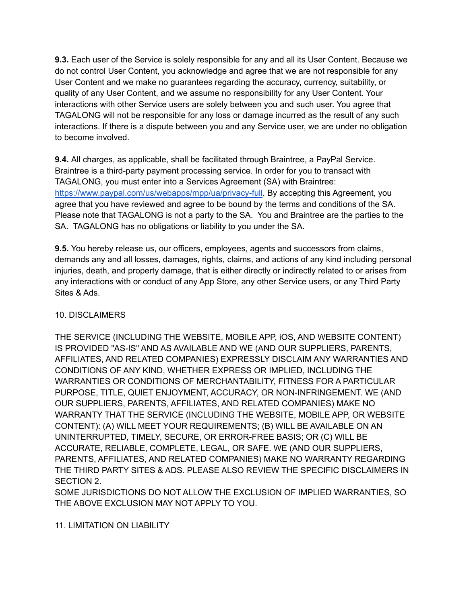**9.3.** Each user of the Service is solely responsible for any and all its User Content. Because we do not control User Content, you acknowledge and agree that we are not responsible for any User Content and we make no guarantees regarding the accuracy, currency, suitability, or quality of any User Content, and we assume no responsibility for any User Content. Your interactions with other Service users are solely between you and such user. You agree that TAGALONG will not be responsible for any loss or damage incurred as the result of any such interactions. If there is a dispute between you and any Service user, we are under no obligation to become involved.

**9.4.** All charges, as applicable, shall be facilitated through Braintree, a PayPal Service. Braintree is a third-party payment processing service. In order for you to transact with TAGALONG, you must enter into a Services Agreement (SA) with Braintree: <https://www.paypal.com/us/webapps/mpp/ua/privacy-full>. By accepting this Agreement, you agree that you have reviewed and agree to be bound by the terms and conditions of the SA. Please note that TAGALONG is not a party to the SA. You and Braintree are the parties to the SA. TAGALONG has no obligations or liability to you under the SA.

**9.5.** You hereby release us, our officers, employees, agents and successors from claims, demands any and all losses, damages, rights, claims, and actions of any kind including personal injuries, death, and property damage, that is either directly or indirectly related to or arises from any interactions with or conduct of any App Store, any other Service users, or any Third Party Sites & Ads.

## 10. DISCLAIMERS

THE SERVICE (INCLUDING THE WEBSITE, MOBILE APP, iOS, AND WEBSITE CONTENT) IS PROVIDED "AS-IS" AND AS AVAILABLE AND WE (AND OUR SUPPLIERS, PARENTS, AFFILIATES, AND RELATED COMPANIES) EXPRESSLY DISCLAIM ANY WARRANTIES AND CONDITIONS OF ANY KIND, WHETHER EXPRESS OR IMPLIED, INCLUDING THE WARRANTIES OR CONDITIONS OF MERCHANTABILITY, FITNESS FOR A PARTICULAR PURPOSE, TITLE, QUIET ENJOYMENT, ACCURACY, OR NON-INFRINGEMENT. WE (AND OUR SUPPLIERS, PARENTS, AFFILIATES, AND RELATED COMPANIES) MAKE NO WARRANTY THAT THE SERVICE (INCLUDING THE WEBSITE, MOBILE APP, OR WEBSITE CONTENT): (A) WILL MEET YOUR REQUIREMENTS; (B) WILL BE AVAILABLE ON AN UNINTERRUPTED, TIMELY, SECURE, OR ERROR-FREE BASIS; OR (C) WILL BE ACCURATE, RELIABLE, COMPLETE, LEGAL, OR SAFE. WE (AND OUR SUPPLIERS, PARENTS, AFFILIATES, AND RELATED COMPANIES) MAKE NO WARRANTY REGARDING THE THIRD PARTY SITES & ADS. PLEASE ALSO REVIEW THE SPECIFIC DISCLAIMERS IN SECTION 2.

SOME JURISDICTIONS DO NOT ALLOW THE EXCLUSION OF IMPLIED WARRANTIES, SO THE ABOVE EXCLUSION MAY NOT APPLY TO YOU.

11. LIMITATION ON LIABILITY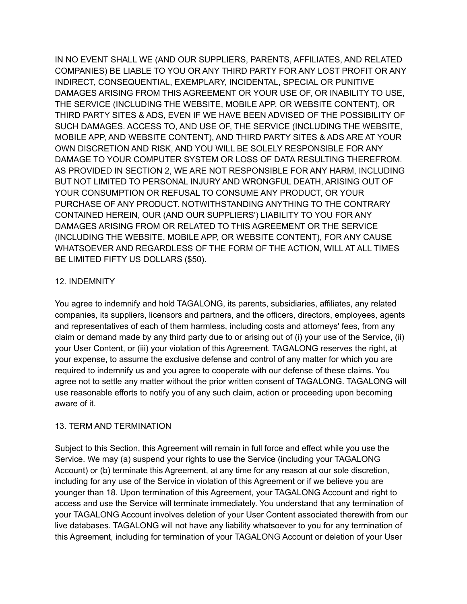IN NO EVENT SHALL WE (AND OUR SUPPLIERS, PARENTS, AFFILIATES, AND RELATED COMPANIES) BE LIABLE TO YOU OR ANY THIRD PARTY FOR ANY LOST PROFIT OR ANY INDIRECT, CONSEQUENTIAL, EXEMPLARY, INCIDENTAL, SPECIAL OR PUNITIVE DAMAGES ARISING FROM THIS AGREEMENT OR YOUR USE OF, OR INABILITY TO USE, THE SERVICE (INCLUDING THE WEBSITE, MOBILE APP, OR WEBSITE CONTENT), OR THIRD PARTY SITES & ADS, EVEN IF WE HAVE BEEN ADVISED OF THE POSSIBILITY OF SUCH DAMAGES. ACCESS TO, AND USE OF, THE SERVICE (INCLUDING THE WEBSITE, MOBILE APP, AND WEBSITE CONTENT), AND THIRD PARTY SITES & ADS ARE AT YOUR OWN DISCRETION AND RISK, AND YOU WILL BE SOLELY RESPONSIBLE FOR ANY DAMAGE TO YOUR COMPUTER SYSTEM OR LOSS OF DATA RESULTING THEREFROM. AS PROVIDED IN SECTION 2, WE ARE NOT RESPONSIBLE FOR ANY HARM, INCLUDING BUT NOT LIMITED TO PERSONAL INJURY AND WRONGFUL DEATH, ARISING OUT OF YOUR CONSUMPTION OR REFUSAL TO CONSUME ANY PRODUCT, OR YOUR PURCHASE OF ANY PRODUCT. NOTWITHSTANDING ANYTHING TO THE CONTRARY CONTAINED HEREIN, OUR (AND OUR SUPPLIERS') LIABILITY TO YOU FOR ANY DAMAGES ARISING FROM OR RELATED TO THIS AGREEMENT OR THE SERVICE (INCLUDING THE WEBSITE, MOBILE APP, OR WEBSITE CONTENT), FOR ANY CAUSE WHATSOEVER AND REGARDLESS OF THE FORM OF THE ACTION, WILL AT ALL TIMES BE LIMITED FIFTY US DOLLARS (\$50).

#### 12. INDEMNITY

You agree to indemnify and hold TAGALONG, its parents, subsidiaries, affiliates, any related companies, its suppliers, licensors and partners, and the officers, directors, employees, agents and representatives of each of them harmless, including costs and attorneys' fees, from any claim or demand made by any third party due to or arising out of (i) your use of the Service, (ii) your User Content, or (iii) your violation of this Agreement. TAGALONG reserves the right, at your expense, to assume the exclusive defense and control of any matter for which you are required to indemnify us and you agree to cooperate with our defense of these claims. You agree not to settle any matter without the prior written consent of TAGALONG. TAGALONG will use reasonable efforts to notify you of any such claim, action or proceeding upon becoming aware of it.

#### 13. TERM AND TERMINATION

Subject to this Section, this Agreement will remain in full force and effect while you use the Service. We may (a) suspend your rights to use the Service (including your TAGALONG Account) or (b) terminate this Agreement, at any time for any reason at our sole discretion, including for any use of the Service in violation of this Agreement or if we believe you are younger than 18. Upon termination of this Agreement, your TAGALONG Account and right to access and use the Service will terminate immediately. You understand that any termination of your TAGALONG Account involves deletion of your User Content associated therewith from our live databases. TAGALONG will not have any liability whatsoever to you for any termination of this Agreement, including for termination of your TAGALONG Account or deletion of your User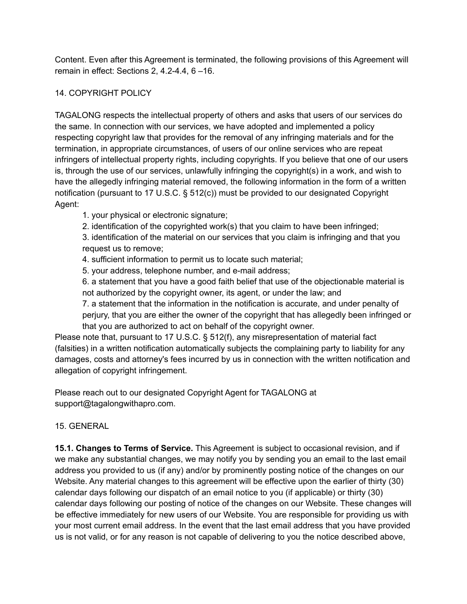Content. Even after this Agreement is terminated, the following provisions of this Agreement will remain in effect: Sections 2, 4.2-4.4, 6 –16.

## 14. COPYRIGHT POLICY

TAGALONG respects the intellectual property of others and asks that users of our services do the same. In connection with our services, we have adopted and implemented a policy respecting copyright law that provides for the removal of any infringing materials and for the termination, in appropriate circumstances, of users of our online services who are repeat infringers of intellectual property rights, including copyrights. If you believe that one of our users is, through the use of our services, unlawfully infringing the copyright(s) in a work, and wish to have the allegedly infringing material removed, the following information in the form of a written notification (pursuant to 17 U.S.C. § 512(c)) must be provided to our designated Copyright Agent:

1. your physical or electronic signature;

2. identification of the copyrighted work(s) that you claim to have been infringed;

3. identification of the material on our services that you claim is infringing and that you request us to remove;

4. sufficient information to permit us to locate such material;

5. your address, telephone number, and e-mail address;

6. a statement that you have a good faith belief that use of the objectionable material is not authorized by the copyright owner, its agent, or under the law; and

7. a statement that the information in the notification is accurate, and under penalty of perjury, that you are either the owner of the copyright that has allegedly been infringed or that you are authorized to act on behalf of the copyright owner.

Please note that, pursuant to 17 U.S.C. § 512(f), any misrepresentation of material fact (falsities) in a written notification automatically subjects the complaining party to liability for any damages, costs and attorney's fees incurred by us in connection with the written notification and allegation of copyright infringement.

Please reach out to our designated Copyright Agent for TAGALONG at support@tagalongwithapro.com.

## 15. GENERAL

**15.1. Changes to Terms of Service.** This Agreement is subject to occasional revision, and if we make any substantial changes, we may notify you by sending you an email to the last email address you provided to us (if any) and/or by prominently posting notice of the changes on our Website. Any material changes to this agreement will be effective upon the earlier of thirty (30) calendar days following our dispatch of an email notice to you (if applicable) or thirty (30) calendar days following our posting of notice of the changes on our Website. These changes will be effective immediately for new users of our Website. You are responsible for providing us with your most current email address. In the event that the last email address that you have provided us is not valid, or for any reason is not capable of delivering to you the notice described above,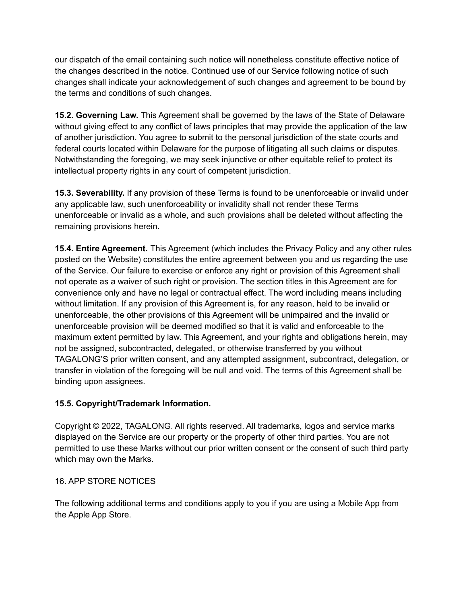our dispatch of the email containing such notice will nonetheless constitute effective notice of the changes described in the notice. Continued use of our Service following notice of such changes shall indicate your acknowledgement of such changes and agreement to be bound by the terms and conditions of such changes.

**15.2. Governing Law.** This Agreement shall be governed by the laws of the State of Delaware without giving effect to any conflict of laws principles that may provide the application of the law of another jurisdiction. You agree to submit to the personal jurisdiction of the state courts and federal courts located within Delaware for the purpose of litigating all such claims or disputes. Notwithstanding the foregoing, we may seek injunctive or other equitable relief to protect its intellectual property rights in any court of competent jurisdiction.

**15.3. Severability.** If any provision of these Terms is found to be unenforceable or invalid under any applicable law, such unenforceability or invalidity shall not render these Terms unenforceable or invalid as a whole, and such provisions shall be deleted without affecting the remaining provisions herein.

**15.4. Entire Agreement.** This Agreement (which includes the Privacy Policy and any other rules posted on the Website) constitutes the entire agreement between you and us regarding the use of the Service. Our failure to exercise or enforce any right or provision of this Agreement shall not operate as a waiver of such right or provision. The section titles in this Agreement are for convenience only and have no legal or contractual effect. The word including means including without limitation. If any provision of this Agreement is, for any reason, held to be invalid or unenforceable, the other provisions of this Agreement will be unimpaired and the invalid or unenforceable provision will be deemed modified so that it is valid and enforceable to the maximum extent permitted by law. This Agreement, and your rights and obligations herein, may not be assigned, subcontracted, delegated, or otherwise transferred by you without TAGALONG'S prior written consent, and any attempted assignment, subcontract, delegation, or transfer in violation of the foregoing will be null and void. The terms of this Agreement shall be binding upon assignees.

## **15.5. Copyright/Trademark Information.**

Copyright © 2022, TAGALONG. All rights reserved. All trademarks, logos and service marks displayed on the Service are our property or the property of other third parties. You are not permitted to use these Marks without our prior written consent or the consent of such third party which may own the Marks.

## 16. APP STORE NOTICES

The following additional terms and conditions apply to you if you are using a Mobile App from the Apple App Store.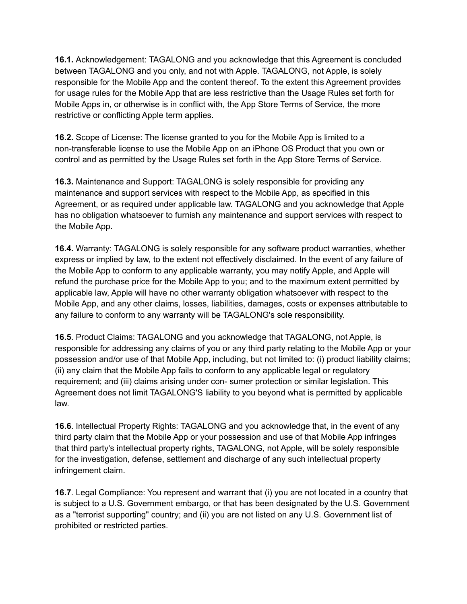**16.1.** Acknowledgement: TAGALONG and you acknowledge that this Agreement is concluded between TAGALONG and you only, and not with Apple. TAGALONG, not Apple, is solely responsible for the Mobile App and the content thereof. To the extent this Agreement provides for usage rules for the Mobile App that are less restrictive than the Usage Rules set forth for Mobile Apps in, or otherwise is in conflict with, the App Store Terms of Service, the more restrictive or conflicting Apple term applies.

**16.2.** Scope of License: The license granted to you for the Mobile App is limited to a non-transferable license to use the Mobile App on an iPhone OS Product that you own or control and as permitted by the Usage Rules set forth in the App Store Terms of Service.

**16.3.** Maintenance and Support: TAGALONG is solely responsible for providing any maintenance and support services with respect to the Mobile App, as specified in this Agreement, or as required under applicable law. TAGALONG and you acknowledge that Apple has no obligation whatsoever to furnish any maintenance and support services with respect to the Mobile App.

**16.4.** Warranty: TAGALONG is solely responsible for any software product warranties, whether express or implied by law, to the extent not effectively disclaimed. In the event of any failure of the Mobile App to conform to any applicable warranty, you may notify Apple, and Apple will refund the purchase price for the Mobile App to you; and to the maximum extent permitted by applicable law, Apple will have no other warranty obligation whatsoever with respect to the Mobile App, and any other claims, losses, liabilities, damages, costs or expenses attributable to any failure to conform to any warranty will be TAGALONG's sole responsibility.

**16.5**. Product Claims: TAGALONG and you acknowledge that TAGALONG, not Apple, is responsible for addressing any claims of you or any third party relating to the Mobile App or your possession and/or use of that Mobile App, including, but not limited to: (i) product liability claims; (ii) any claim that the Mobile App fails to conform to any applicable legal or regulatory requirement; and (iii) claims arising under con- sumer protection or similar legislation. This Agreement does not limit TAGALONG'S liability to you beyond what is permitted by applicable law.

**16.6**. Intellectual Property Rights: TAGALONG and you acknowledge that, in the event of any third party claim that the Mobile App or your possession and use of that Mobile App infringes that third party's intellectual property rights, TAGALONG, not Apple, will be solely responsible for the investigation, defense, settlement and discharge of any such intellectual property infringement claim.

**16.7**. Legal Compliance: You represent and warrant that (i) you are not located in a country that is subject to a U.S. Government embargo, or that has been designated by the U.S. Government as a "terrorist supporting" country; and (ii) you are not listed on any U.S. Government list of prohibited or restricted parties.